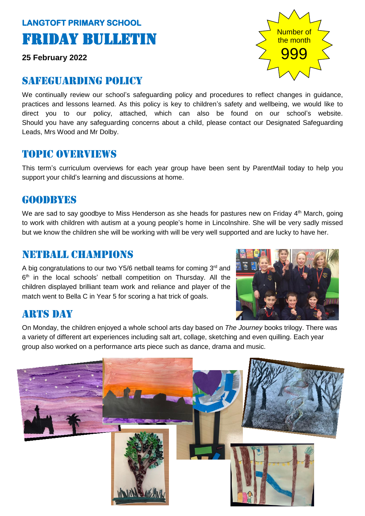# **LANGTOFT PRIMARY SCHOOL**  Friday Bulletin

**25 February 2022**

# SAFEGUARDING POLICY

We continually review our school's safeguarding policy and procedures to reflect changes in guidance, practices and lessons learned. As this policy is key to children's safety and wellbeing, we would like to direct you to our policy, attached, which can also be found on our school's website. Should you have any safeguarding concerns about a child, please contact our Designated Safeguarding Leads, Mrs Wood and Mr Dolby.

# Topic overviews

This term's curriculum overviews for each year group have been sent by ParentMail today to help you support your child's learning and discussions at home.

### GOODRYES

We are sad to say goodbye to Miss Henderson as she heads for pastures new on Friday  $4<sup>th</sup>$  March, going to work with children with autism at a young people's home in Lincolnshire. She will be very sadly missed but we know the children she will be working with will be very well supported and are lucky to have her.

### Netball champions

A big congratulations to our two Y5/6 netball teams for coming 3<sup>rd</sup> and 6<sup>th</sup> in the local schools' netball competition on Thursday. All the children displayed brilliant team work and reliance and player of the match went to Bella C in Year 5 for scoring a hat trick of goals.



# **ARTS DAY**

On Monday, the children enjoyed a whole school arts day based on *The Journey* books trilogy. There was a variety of different art experiences including salt art, collage, sketching and even quilling. Each year group also worked on a performance arts piece such as dance, drama and music.



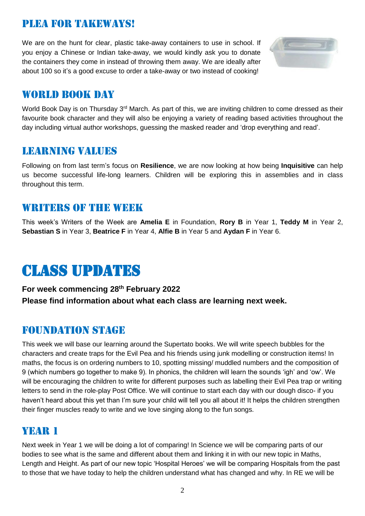# plea for takeways!

We are on the hunt for clear, plastic take-away containers to use in school. If you enjoy a Chinese or Indian take-away, we would kindly ask you to donate the containers they come in instead of throwing them away. We are ideally after about 100 so it's a good excuse to order a take-away or two instead of cooking!



# WORLD BOOK DAY

World Book Day is on Thursday 3<sup>rd</sup> March. As part of this, we are inviting children to come dressed as their favourite book character and they will also be enjoying a variety of reading based activities throughout the day including virtual author workshops, guessing the masked reader and 'drop everything and read'.

### Learning values

Following on from last term's focus on **Resilience**, we are now looking at how being **Inquisitive** can help us become successful life-long learners. Children will be exploring this in assemblies and in class throughout this term.

### WRITERS OF THE WEEK

This week's Writers of the Week are **Amelia E** in Foundation, **Rory B** in Year 1, **Teddy M** in Year 2, **Sebastian S** in Year 3, **Beatrice F** in Year 4, **Alfie B** in Year 5 and **Aydan F** in Year 6.

# Class updates

#### **For week commencing 28 th February 2022 Please find information about what each class are learning next week.**

### Foundation stage

This week we will base our learning around the Supertato books. We will write speech bubbles for the characters and create traps for the Evil Pea and his friends using junk modelling or construction items! In maths, the focus is on ordering numbers to 10, spotting missing/ muddled numbers and the composition of 9 (which numbers go together to make 9). In phonics, the children will learn the sounds 'igh' and 'ow'. We will be encouraging the children to write for different purposes such as labelling their Evil Pea trap or writing letters to send in the role-play Post Office. We will continue to start each day with our dough disco- if you haven't heard about this yet than I'm sure your child will tell you all about it! It helps the children strengthen their finger muscles ready to write and we love singing along to the fun songs.

### YEAR 1

Next week in Year 1 we will be doing a lot of comparing! In Science we will be comparing parts of our bodies to see what is the same and different about them and linking it in with our new topic in Maths, Length and Height. As part of our new topic 'Hospital Heroes' we will be comparing Hospitals from the past to those that we have today to help the children understand what has changed and why. In RE we will be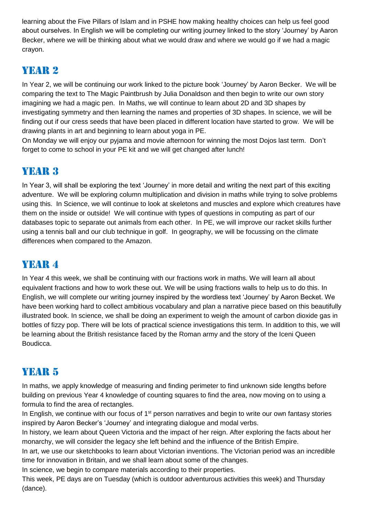learning about the Five Pillars of Islam and in PSHE how making healthy choices can help us feel good about ourselves. In English we will be completing our writing journey linked to the story 'Journey' by Aaron Becker, where we will be thinking about what we would draw and where we would go if we had a magic crayon.

# Year 2

In Year 2, we will be continuing our work linked to the picture book 'Journey' by Aaron Becker. We will be comparing the text to The Magic Paintbrush by Julia Donaldson and then begin to write our own story imagining we had a magic pen. In Maths, we will continue to learn about 2D and 3D shapes by investigating symmetry and then learning the names and properties of 3D shapes. In science, we will be finding out if our cress seeds that have been placed in different location have started to grow. We will be drawing plants in art and beginning to learn about yoga in PE.

On Monday we will enjoy our pyjama and movie afternoon for winning the most Dojos last term. Don't forget to come to school in your PE kit and we will get changed after lunch!

# YEAR 3

In Year 3, will shall be exploring the text 'Journey' in more detail and writing the next part of this exciting adventure. We will be exploring column multiplication and division in maths while trying to solve problems using this. In Science, we will continue to look at skeletons and muscles and explore which creatures have them on the inside or outside! We will continue with types of questions in computing as part of our databases topic to separate out animals from each other. In PE, we will improve our racket skills further using a tennis ball and our club technique in golf. In geography, we will be focussing on the climate differences when compared to the Amazon.

# YEAR 4

In Year 4 this week, we shall be continuing with our fractions work in maths. We will learn all about equivalent fractions and how to work these out. We will be using fractions walls to help us to do this. In English, we will complete our writing journey inspired by the wordless text 'Journey' by Aaron Becket. We have been working hard to collect ambitious vocabulary and plan a narrative piece based on this beautifully illustrated book. In science, we shall be doing an experiment to weigh the amount of carbon dioxide gas in bottles of fizzy pop. There will be lots of practical science investigations this term. In addition to this, we will be learning about the British resistance faced by the Roman army and the story of the Iceni Queen Boudicca.

# YEAR 5

In maths, we apply knowledge of measuring and finding perimeter to find unknown side lengths before building on previous Year 4 knowledge of counting squares to find the area, now moving on to using a formula to find the area of rectangles.

In English, we continue with our focus of 1<sup>st</sup> person narratives and begin to write our own fantasy stories inspired by Aaron Becker's 'Journey' and integrating dialogue and modal verbs.

In history, we learn about Queen Victoria and the impact of her reign. After exploring the facts about her monarchy, we will consider the legacy she left behind and the influence of the British Empire.

In art, we use our sketchbooks to learn about Victorian inventions. The Victorian period was an incredible time for innovation in Britain, and we shall learn about some of the changes.

In science, we begin to compare materials according to their properties.

This week, PE days are on Tuesday (which is outdoor adventurous activities this week) and Thursday (dance).